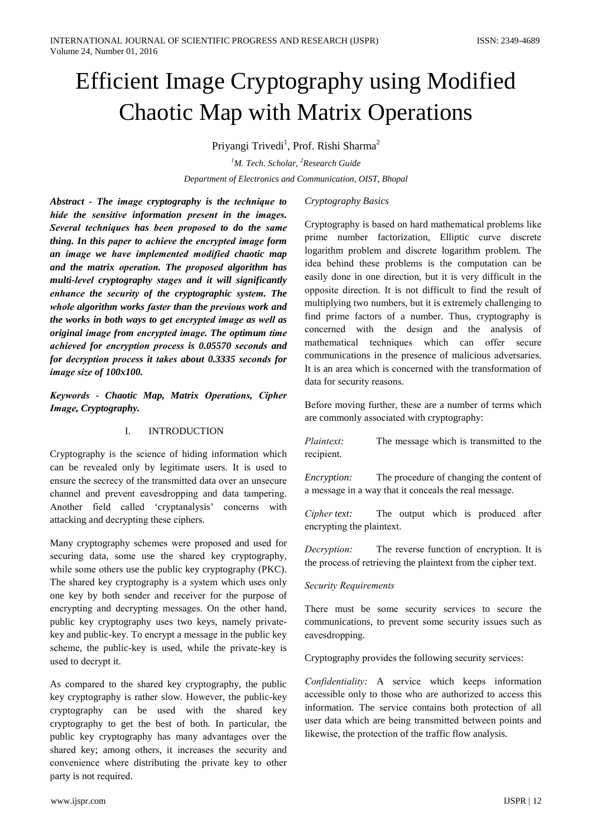# **Efficient Image Cryptography using Modified Chaotic Map with Matrix Operations**

Priyangi Trivedi<sup>1</sup>, Prof. Rishi Sharma<sup>2</sup>

<sup>1</sup>M. Tech. Scholar, <sup>2</sup>Research Guide Department of Electronics and Communication, OIST, Bhopal

Abstract - The image cryptography is the technique to hide the sensitive information present in the images. Several techniques has been proposed to do the same thing. In this paper to achieve the encrypted image form an image we have implemented modified chaotic map and the matrix operation. The proposed algorithm has multi-level cryptography stages and it will significantly enhance the security of the cryptographic system. The whole algorithm works faster than the previous work and the works in both ways to get encrypted image as well as original image from encrypted image. The optimum time achieved for encryption process is 0.05570 seconds and for decryption process it takes about 0.3335 seconds for image size of 100x100.

Keywords - Chaotic Map, Matrix Operations, Cipher Image, Cryptography.

#### $\mathbf{I}$ . **INTRODUCTION**

Cryptography is the science of hiding information which can be revealed only by legitimate users. It is used to ensure the secrecy of the transmitted data over an unsecure channel and prevent eavesdropping and data tampering. Another field called 'cryptanalysis' concerns with attacking and decrypting these ciphers.

Many cryptography schemes were proposed and used for securing data, some use the shared key cryptography, while some others use the public key cryptography (PKC). The shared key cryptography is a system which uses only one key by both sender and receiver for the purpose of encrypting and decrypting messages. On the other hand, public key cryptography uses two keys, namely privatekey and public-key. To encrypt a message in the public key scheme, the public-key is used, while the private-key is used to decrypt it.

As compared to the shared key cryptography, the public key cryptography is rather slow. However, the public-key cryptography can be used with the shared key cryptography to get the best of both. In particular, the public key cryptography has many advantages over the shared key; among others, it increases the security and convenience where distributing the private key to other party is not required.

# Cryptography Basics

Cryptography is based on hard mathematical problems like prime number factorization, Elliptic curve discrete logarithm problem and discrete logarithm problem. The idea behind these problems is the computation can be easily done in one direction, but it is very difficult in the opposite direction. It is not difficult to find the result of multiplying two numbers, but it is extremely challenging to find prime factors of a number. Thus, cryptography is concerned with the design and the analysis of mathematical techniques which can offer secure communications in the presence of malicious adversaries. It is an area which is concerned with the transformation of data for security reasons.

Before moving further, these are a number of terms which are commonly associated with cryptography:

Plaintext: The message which is transmitted to the recipient.

Encryption: The procedure of changing the content of a message in a way that it conceals the real message.

Cipher text: The output which is produced after encrypting the plaintext.

Decryption: The reverse function of encryption. It is the process of retrieving the plaintext from the cipher text.

## **Security Requirements**

There must be some security services to secure the communications, to prevent some security issues such as eavesdropping.

Cryptography provides the following security services:

Confidentiality: A service which keeps information accessible only to those who are authorized to access this information. The service contains both protection of all user data which are being transmitted between points and likewise, the protection of the traffic flow analysis.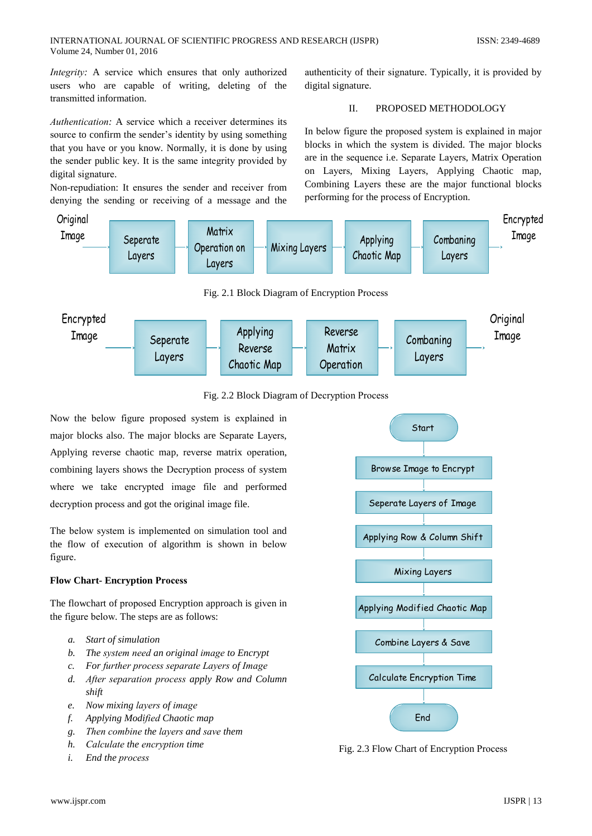*Integrity:* A service which ensures that only authorized users who are capable of writing, deleting of the transmitted information.

*Authentication:* A service which a receiver determines its source to confirm the sender's identity by using something that you have or you know. Normally, it is done by using the sender public key. It is the same integrity provided by digital signature.

Non-repudiation: It ensures the sender and receiver from denying the sending or receiving of a message and the

authenticity of their signature. Typically, it is provided by digital signature.

#### $\Pi$ . PROPOSED METHODOLOGY

In below figure the proposed system is explained in major blocks in which the system is divided. The major blocks are in the sequence i.e. Separate Layers, Matrix Operation on Layers, Mixing Layers, Applying Chaotic map, Combining Layers these are the major functional blocks performing for the process of Encryption.



- c. For further process separate Layers of Image
- d. After separation process apply Row and Column shift
- e. Now mixing layers of image
- Applying Modified Chaotic map f.
- g. Then combine the layers and save them
- h. Calculate the encryption time
- $\dot{i}$ . End the process



**Calculate Encryption Time** 

Fnd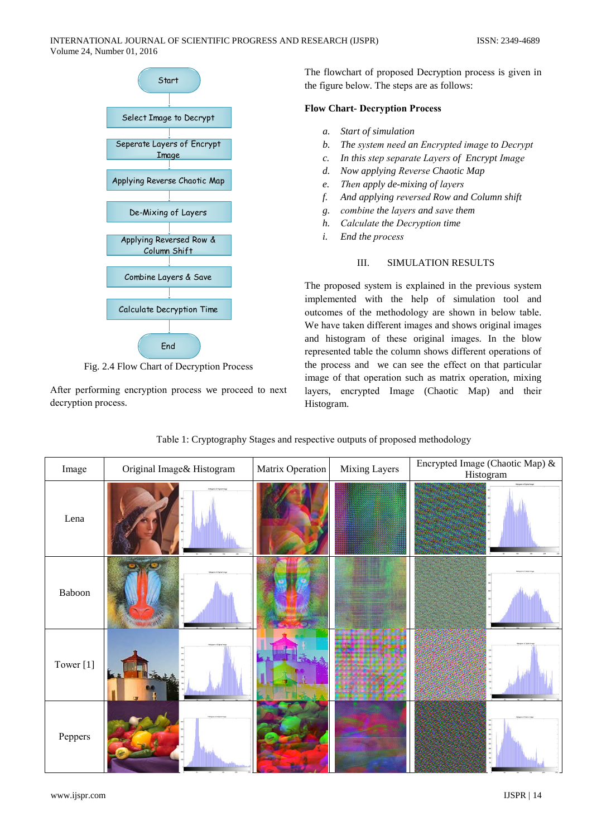

Fig. 2.4 Flow Chart of Decryption Process

After performing encryption process we proceed to next decryption process.

The flowchart of proposed Decryption process is given in the figure below. The steps are as follows:

## **Flow Chart-Decryption Process**

- a. Start of simulation
- $h$ The system need an Encrypted image to Decrypt
- c. In this step separate Layers of Encrypt Image
- d. Now applying Reverse Chaotic Map
- e. Then apply de-mixing of layers
- And applying reversed Row and Column shift  $f<sub>z</sub>$
- g. combine the layers and save them
- h. Calculate the Decryption time
- $\dot{L}$ End the process

#### III. **SIMULATION RESULTS**

The proposed system is explained in the previous system implemented with the help of simulation tool and outcomes of the methodology are shown in below table. We have taken different images and shows original images and histogram of these original images. In the blow represented table the column shows different operations of the process and we can see the effect on that particular image of that operation such as matrix operation, mixing layers, encrypted Image (Chaotic Map) and their Histogram.

| Image     | Original Image& Histogram | Matrix Operation | Mixing Layers | Encrypted Image (Chaotic Map) &<br>Histogram |
|-----------|---------------------------|------------------|---------------|----------------------------------------------|
| Lena      | Reagres of Original Iraq  |                  |               | Hollywin of Opher Shops                      |
| Baboon    |                           |                  |               |                                              |
| Tower [1] |                           |                  |               |                                              |
| Peppers   |                           |                  |               |                                              |

Table 1: Cryptography Stages and respective outputs of proposed methodology